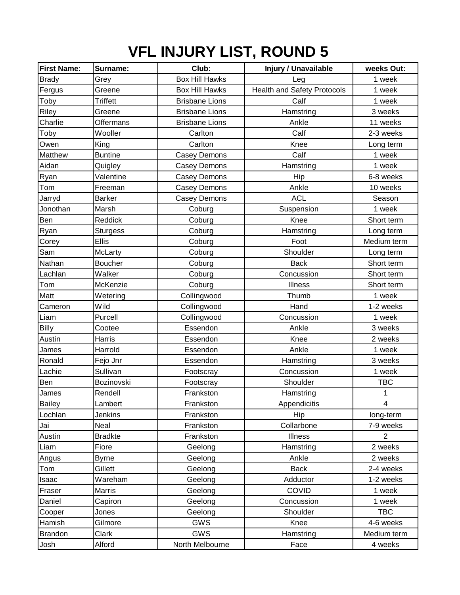## **VFL INJURY LIST, ROUND 5**

| <b>First Name:</b> | Surname:        | Club:                 | <b>Injury / Unavailable</b>        | weeks Out:              |
|--------------------|-----------------|-----------------------|------------------------------------|-------------------------|
| <b>Brady</b>       | Grey            | <b>Box Hill Hawks</b> | Leg                                | 1 week                  |
| Fergus             | Greene          | <b>Box Hill Hawks</b> | <b>Health and Safety Protocols</b> | 1 week                  |
| Toby               | <b>Triffett</b> | <b>Brisbane Lions</b> | Calf                               | 1 week                  |
| Riley              | Greene          | <b>Brisbane Lions</b> | Hamstring                          | 3 weeks                 |
| Charlie            | Offermans       | <b>Brisbane Lions</b> | Ankle                              | 11 weeks                |
| Toby               | Wooller         | Carlton               | Calf                               | 2-3 weeks               |
| Owen               | King            | Carlton               | Knee                               | Long term               |
| Matthew            | <b>Buntine</b>  | Casey Demons          | Calf                               | 1 week                  |
| Aidan              | Quigley         | <b>Casey Demons</b>   | Hamstring                          | 1 week                  |
| Ryan               | Valentine       | Casey Demons          | Hip                                | 6-8 weeks               |
| Tom                | Freeman         | Casey Demons          | Ankle                              | 10 weeks                |
| Jarryd             | <b>Barker</b>   | Casey Demons          | <b>ACL</b>                         | Season                  |
| Jonothan           | Marsh           | Coburg                | Suspension                         | 1 week                  |
| Ben                | Reddick         | Coburg                | Knee                               | Short term              |
| Ryan               | <b>Sturgess</b> | Coburg                | Hamstring                          | Long term               |
| Corey              | <b>Ellis</b>    | Coburg                | Foot                               | Medium term             |
| Sam                | McLarty         | Coburg                | Shoulder                           | Long term               |
| Nathan             | <b>Boucher</b>  | Coburg                | <b>Back</b>                        | Short term              |
| Lachlan            | Walker          | Coburg                | Concussion                         | Short term              |
| Tom                | McKenzie        | Coburg                | Illness                            | Short term              |
| Matt               | Wetering        | Collingwood           | Thumb                              | 1 week                  |
| Cameron            | Wild            | Collingwood           | Hand                               | 1-2 weeks               |
| Liam               | Purcell         | Collingwood           | Concussion                         | 1 week                  |
| <b>Billy</b>       | Cootee          | Essendon              | Ankle                              | 3 weeks                 |
| Austin             | Harris          | Essendon              | Knee                               | 2 weeks                 |
| James              | Harrold         | Essendon              | Ankle                              | 1 week                  |
| Ronald             | Fejo Jnr        | Essendon              | Hamstring                          | 3 weeks                 |
| Lachie             | Sullivan        | Footscray             | Concussion                         | 1 week                  |
| Ben                | Bozinovski      | Footscray             | Shoulder                           | <b>TBC</b>              |
| James              | Rendell         | Frankston             | Hamstring                          | 1                       |
| <b>Bailey</b>      | Lambert         | Frankston             | Appendicitis                       | $\overline{\mathbf{4}}$ |
| Lochlan            | Jenkins         | Frankston             | Hip                                | long-term               |
| Jai                | Neal            | Frankston             | Collarbone                         | 7-9 weeks               |
| Austin             | <b>Bradkte</b>  | Frankston             | Illness                            | $\overline{2}$          |
| Liam               | Fiore           | Geelong               | Hamstring                          | 2 weeks                 |
| Angus              | <b>Byrne</b>    | Geelong               | Ankle                              | 2 weeks                 |
| Tom                | Gillett         | Geelong               | <b>Back</b>                        | 2-4 weeks               |
| Isaac              | Wareham         | Geelong               | Adductor                           | 1-2 weeks               |
| Fraser             | Marris          | Geelong               | COVID                              | 1 week                  |
| Daniel             | Capiron         | Geelong               | Concussion                         | 1 week                  |
| Cooper             | Jones           | Geelong               | Shoulder                           | <b>TBC</b>              |
| Hamish             | Gilmore         | GWS                   | Knee                               | 4-6 weeks               |
| <b>Brandon</b>     | Clark           | GWS                   | Hamstring                          | Medium term             |
| Josh               | Alford          | North Melbourne       | Face                               | 4 weeks                 |